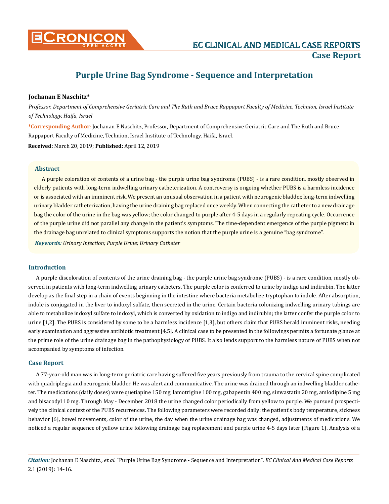

# **Purple Urine Bag Syndrome - Sequence and Interpretation**

#### **Jochanan E Naschitz\***

*Professor, Department of Comprehensive Geriatric Care and The Ruth and Bruce Rappaport Faculty of Medicine, Technion, Israel Institute of Technology, Haifa, Israel*

**\*Corresponding Author**: Jochanan E Naschitz, Professor, Department of Comprehensive Geriatric Care and The Ruth and Bruce Rappaport Faculty of Medicine, Technion, Israel Institute of Technology, Haifa, Israel.

**Received:** March 20, 2019; **Published:** April 12, 2019

## **Abstract**

A purple coloration of contents of a urine bag - the purple urine bag syndrome (PUBS) - is a rare condition, mostly observed in elderly patients with long-term indwelling urinary catheterization. A controversy is ongoing whether PUBS is a harmless incidence or is associated with an imminent risk. We present an unusual observation in a patient with neurogenic bladder, long-term indwelling urinary bladder catheterization, having the urine draining bag replaced once weekly. When connecting the catheter to a new drainage bag the color of the urine in the bag was yellow; the color changed to purple after 4-5 days in a regularly repeating cycle. Occurrence of the purple urine did not parallel any change in the patient's symptoms. The time-dependent emergence of the purple pigment in the drainage bag unrelated to clinical symptoms supports the notion that the purple urine is a genuine "bag syndrome".

*Keywords: Urinary Infection; Purple Urine; Urinary Catheter*

## **Introduction**

A purple discoloration of contents of the urine draining bag - the purple urine bag syndrome (PUBS) - is a rare condition, mostly observed in patients with long-term indwelling urinary catheters. The purple color is conferred to urine by indigo and indirubin. The latter develop as the final step in a chain of events beginning in the intestine where bacteria metabolize tryptophan to indole. After absorption, indole is conjugated in the liver to indoxyl sulfate, then secreted in the urine. Certain bacteria colonizing indwelling urinary tubings are able to metabolize indoxyl sulfate to indoxyl, which is converted by oxidation to indigo and indirubin; the latter confer the purple color to urine [1,2]. The PUBS is considered by some to be a harmless incidence [1,3], but others claim that PUBS herald imminent risks, needing early examination and aggressive antibiotic treatment [4,5]. A clinical case to be presented in the followings permits a fortunate glance at the prime role of the urine drainage bag in the pathophysiology of PUBS. It also lends support to the harmless nature of PUBS when not accompanied by symptoms of infection.

## **Case Report**

A 77-year-old man was in long-term geriatric care having suffered five years previously from trauma to the cervical spine complicated with quadriplegia and neurogenic bladder. He was alert and communicative. The urine was drained through an indwelling bladder catheter. The medications (daily doses) were quetiapine 150 mg, lamotrigine 100 mg, gabapentin 400 mg, simvastatin 20 mg, amlodipine 5 mg and bisacodyl 10 mg. Through May - December 2018 the urine changed color periodically from yellow to purple. We pursued prospectively the clinical context of the PUBS recurrences. The following parameters were recorded daily: the patient's body temperature, sickness behavior [6], bowel movements, color of the urine, the day when the urine drainage bag was changed, adjustments of medications. We noticed a regular sequence of yellow urine following drainage bag replacement and purple urine 4-5 days later (Figure 1). Analysis of a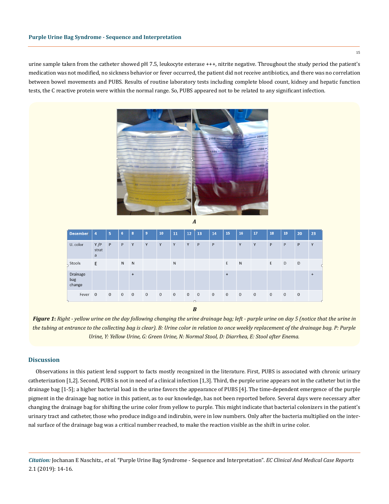urine sample taken from the catheter showed pH 7.5, leukocyte esterase +++, nitrite negative. Throughout the study period the patient's medication was not modified, no sickness behavior or fever occurred, the patient did not receive antibiotics, and there was no correlation between bowel movements and PUBS. Results of routine laboratory tests including complete blood count, kidney and hepatic function tests, the C reactive protein were within the normal range. So, PUBS appeared not to be related to any significant infection.



| <b>December</b>           | 4                 | 5           | 6              | $\mathbf{8}$   | $\overline{9}$ | 10             | 11             | 12           | 13             | 14          | 15          | 16          | 17           | 18          | 19             | 20          | 23        |
|---------------------------|-------------------|-------------|----------------|----------------|----------------|----------------|----------------|--------------|----------------|-------------|-------------|-------------|--------------|-------------|----------------|-------------|-----------|
| U. color                  | Y/P<br>strat<br>a | P           | P              | Y              | Y              | Y              | Y              | Y            | P              | P           |             | Y           | Y            | P           | P              | P           | Y         |
| Stools                    | E                 |             | N              | N              |                |                | $\mathsf{N}$   |              |                |             | E           | N           |              | E           | D              | D           |           |
| Drainage<br>bag<br>change |                   |             |                | $+$            |                |                |                |              |                |             | $\ddot{}$   |             |              |             |                |             | $\ddot{}$ |
| Fever                     | $\overline{0}$    | $\mathbf 0$ | $\overline{0}$ | $\overline{0}$ | $\overline{0}$ | $\overline{0}$ | $\overline{0}$ | $\mathbf{0}$ | $\overline{0}$ | $\mathbf 0$ | $\mathbf 0$ | $\mathbf 0$ | $\mathbf{0}$ | $\mathbf 0$ | $\overline{0}$ | $\mathbf 0$ |           |

*Figure 1***:** *Right - yellow urine on the day following changing the urine drainage bag; left - purple urine on day 5 (notice that the urine in the tubing at entrance to the collecting bag is clear). B: Urine color in relation to once weekly replacement of the drainage bag. P: Purple Urine, Y: Yellow Urine, G: Green Urine, N: Normal Stool, D: Diarrhea, E: Stool after Enema.*

*B*

## **Discussion**

Observations in this patient lend support to facts mostly recognized in the literature. First, PUBS is associated with chronic urinary catheterization [1,2]. Second, PUBS is not in need of a clinical infection [1,3]. Third, the purple urine appears not in the catheter but in the drainage bag [1-5]; a higher bacterial load in the urine favors the appearance of PUBS [4]. The time-dependent emergence of the purple pigment in the drainage bag notice in this patient, as to our knowledge, has not been reported before. Several days were necessary after changing the drainage bag for shifting the urine color from yellow to purple. This might indicate that bacterial colonizers in the patient's urinary tract and catheter, those who produce indigo and indirubin, were in low numbers. Only after the bacteria multiplied on the internal surface of the drainage bag was a critical number reached, to make the reaction visible as the shift in urine color.

*Citation:* Jochanan E Naschitz*., et al.* "Purple Urine Bag Syndrome - Sequence and Interpretation". *EC Clinical And Medical Case Reports*  2.1 (2019): 14-16.

15